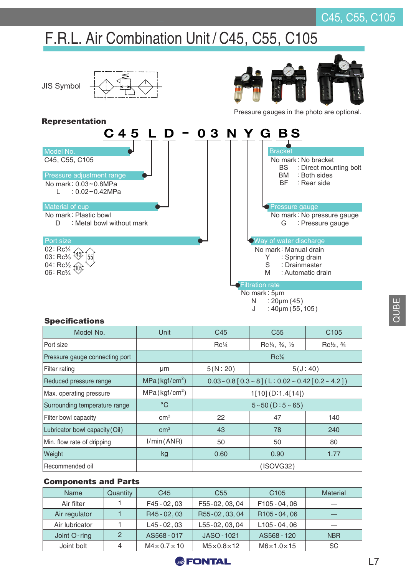## C45, C55, C105

# F.R.L. Air Combination Unit / C45, C55, C105



#### J  $: 40$ um (55,105)

#### **Specifications**

| Model No.                      | Unit                      | C45                                                 | C <sub>55</sub>                                 | C <sub>105</sub>                |  |
|--------------------------------|---------------------------|-----------------------------------------------------|-------------------------------------------------|---------------------------------|--|
| Port size                      |                           | $Rc\frac{1}{4}$                                     | $Rc\frac{1}{4}$ , $\frac{3}{8}$ , $\frac{1}{2}$ | $Rc\frac{1}{2}$ , $\frac{3}{4}$ |  |
| Pressure gauge connecting port |                           | $\rm{Rc\%}$                                         |                                                 |                                 |  |
| Filter rating                  | μm                        | 5(N:20)                                             | 5(J:40)                                         |                                 |  |
| Reduced pressure range         | MPa(kgf/cm <sup>2</sup> ) | $0.03 - 0.8$ [0.3 ~ 8] (L: 0.02 ~ 0.42 [0.2 ~ 4.2]) |                                                 |                                 |  |
| Max. operating pressure        | MPa(kgf/cm <sup>2</sup> ) | 1[10] (D:1.4[14])                                   |                                                 |                                 |  |
| Surrounding temperature range  | $^{\circ}$ C              | $5 - 50$ (D: $5 - 65$ )                             |                                                 |                                 |  |
| Filter bowl capacity           | cm <sup>3</sup>           | 22                                                  | 47                                              | 140                             |  |
| Lubricator bowl capacity (Oil) | cm <sup>3</sup>           | 43                                                  | 78                                              | 240                             |  |
| Min. flow rate of dripping     | I/min(ANR)                | 50                                                  | 50                                              | 80                              |  |
| Weight                         | kg                        | 0.60                                                | 0.90                                            | 1.77                            |  |
| Recommended oil                |                           | (ISOVG32)                                           |                                                 |                                 |  |

#### Components and Parts

| Name           | Quantity | C <sub>45</sub>           | C <sub>55</sub>       | C <sub>105</sub>         | <b>Material</b> |
|----------------|----------|---------------------------|-----------------------|--------------------------|-----------------|
| Air filter     |          | $F45 - 02, 03$            | F55-02, 03, 04        | F105-04,06               |                 |
| Air regulator  |          | R45 - 02, 03              | R55-02, 03, 04        | R <sub>105</sub> - 04,06 |                 |
| Air lubricator |          | $L45 - 02.03$             | L55-02, 03, 04        | $L105 - 04, 06$          | $-$             |
| Joint O-ring   | 2        | AS568-017                 | JASO-1021             | AS568 - 120              | <b>NBR</b>      |
| Joint bolt     | 4        | $M4 \times 0.7 \times 10$ | $M5\times0.8\times12$ | $M6\times1.0\times15$    | SC              |